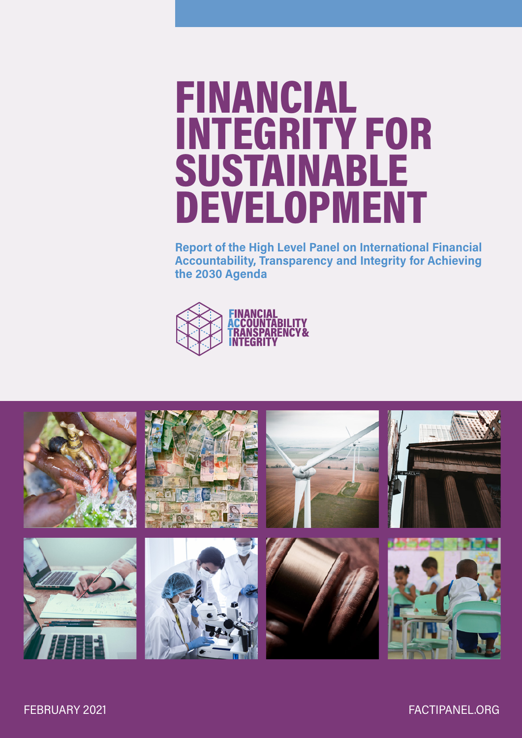# FINANCIAL INTEGRITY FOR SUSTAINABLE DEVELOPMENT

Report of the High Level Panel on International Financial Accountability, Transparency and Integrity for Achieving the 2030 Agenda



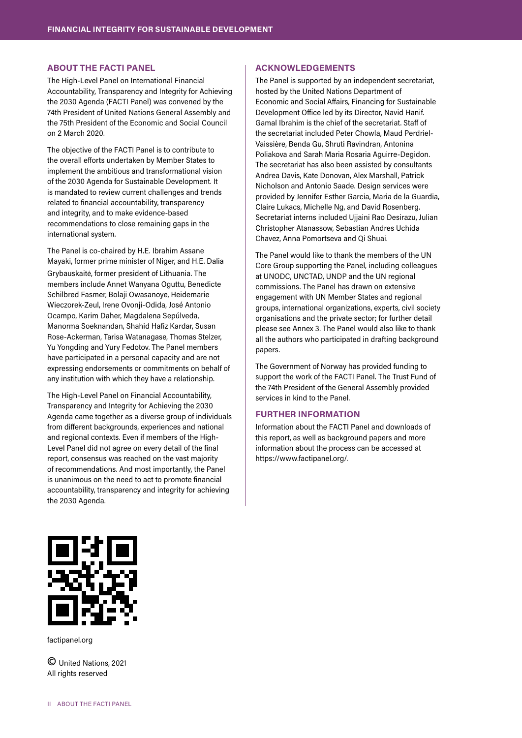#### ABOUT THE FACTI PANEL

The High-Level Panel on International Financial Accountability, Transparency and Integrity for Achieving the 2030 Agenda (FACTI Panel) was convened by the 74th President of United Nations General Assembly and the 75th President of the Economic and Social Council on 2 March 2020.

The objective of the FACTI Panel is to contribute to the overall efforts undertaken by Member States to implement the ambitious and transformational vision of the 2030 Agenda for Sustainable Development. It is mandated to review current challenges and trends related to financial accountability, transparency and integrity, and to make evidence-based recommendations to close remaining gaps in the international system.

The Panel is co-chaired by H.E. Ibrahim Assane Mayaki, former prime minister of Niger, and H.E. Dalia Grybauskaitė, former president of Lithuania. The members include Annet Wanyana Oguttu, Benedicte Schilbred Fasmer, Bolaji Owasanoye, Heidemarie Wieczorek-Zeul, Irene Ovonji-Odida, José Antonio Ocampo, Karim Daher, Magdalena Sepúlveda, Manorma Soeknandan, Shahid Hafiz Kardar, Susan Rose-Ackerman, Tarisa Watanagase, Thomas Stelzer, Yu Yongding and Yury Fedotov. The Panel members have participated in a personal capacity and are not expressing endorsements or commitments on behalf of any institution with which they have a relationship.

The High-Level Panel on Financial Accountability, Transparency and Integrity for Achieving the 2030 Agenda came together as a diverse group of individuals from different backgrounds, experiences and national and regional contexts. Even if members of the High-Level Panel did not agree on every detail of the final report, consensus was reached on the vast majority of recommendations. And most importantly, the Panel is unanimous on the need to act to promote financial accountability, transparency and integrity for achieving the 2030 Agenda.

#### ACKNOWLEDGEMENTS

The Panel is supported by an independent secretariat, hosted by the United Nations Department of Economic and Social Affairs, Financing for Sustainable Development Office led by its Director, Navid Hanif. Gamal Ibrahim is the chief of the secretariat. Staff of the secretariat included Peter Chowla, Maud Perdriel-Vaissière, Benda Gu, Shruti Ravindran, Antonina Poliakova and Sarah Maria Rosaria Aguirre-Degidon. The secretariat has also been assisted by consultants Andrea Davis, Kate Donovan, Alex Marshall, Patrick Nicholson and Antonio Saade. Design services were provided by Jennifer Esther Garcia, Maria de la Guardia, Claire Lukacs, Michelle Ng, and David Rosenberg. Secretariat interns included Ujjaini Rao Desirazu, Julian Christopher Atanassow, Sebastian Andres Uchida Chavez, Anna Pomortseva and Qi Shuai.

The Panel would like to thank the members of the UN Core Group supporting the Panel, including colleagues at UNODC, UNCTAD, UNDP and the UN regional commissions. The Panel has drawn on extensive engagement with UN Member States and regional groups, international organizations, experts, civil society organisations and the private sector; for further detail please see Annex 3. The Panel would also like to thank all the authors who participated in drafting background papers.

The Government of Norway has provided funding to support the work of the FACTI Panel. The Trust Fund of the 74th President of the General Assembly provided services in kind to the Panel.

#### FURTHER INFORMATION

Information about the FACTI Panel and downloads of this report, as well as background papers and more information about the process can be accessed at https://www.factipanel.org/.



factipanel.org

**©** United Nations, 2021 All rights reserved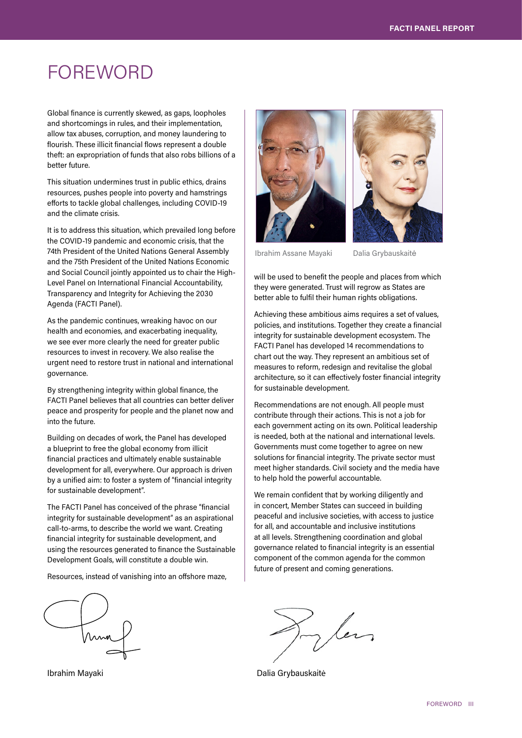# FOREWORD

Global finance is currently skewed, as gaps, loopholes and shortcomings in rules, and their implementation, allow tax abuses, corruption, and money laundering to flourish. These illicit financial flows represent a double theft: an expropriation of funds that also robs billions of a better future.

This situation undermines trust in public ethics, drains resources, pushes people into poverty and hamstrings efforts to tackle global challenges, including COVID-19 and the climate crisis.

It is to address this situation, which prevailed long before the COVID-19 pandemic and economic crisis, that the 74th President of the United Nations General Assembly and the 75th President of the United Nations Economic and Social Council jointly appointed us to chair the High-Level Panel on International Financial Accountability, Transparency and Integrity for Achieving the 2030 Agenda (FACTI Panel).

As the pandemic continues, wreaking havoc on our health and economies, and exacerbating inequality, we see ever more clearly the need for greater public resources to invest in recovery. We also realise the urgent need to restore trust in national and international governance.

By strengthening integrity within global finance, the FACTI Panel believes that all countries can better deliver peace and prosperity for people and the planet now and into the future.

Building on decades of work, the Panel has developed a blueprint to free the global economy from illicit financial practices and ultimately enable sustainable development for all, everywhere. Our approach is driven by a unified aim: to foster a system of "financial integrity for sustainable development".

The FACTI Panel has conceived of the phrase "financial integrity for sustainable development" as an aspirational call-to-arms, to describe the world we want. Creating financial integrity for sustainable development, and using the resources generated to finance the Sustainable Development Goals, will constitute a double win.

Resources, instead of vanishing into an offshore maze,







Ibrahim Assane Mayaki Dalia Grybauskaitė

will be used to benefit the people and places from which they were generated. Trust will regrow as States are better able to fulfil their human rights obligations.

Achieving these ambitious aims requires a set of values, policies, and institutions. Together they create a financial integrity for sustainable development ecosystem. The FACTI Panel has developed 14 recommendations to chart out the way. They represent an ambitious set of measures to reform, redesign and revitalise the global architecture, so it can effectively foster financial integrity for sustainable development.

Recommendations are not enough. All people must contribute through their actions. This is not a job for each government acting on its own. Political leadership is needed, both at the national and international levels. Governments must come together to agree on new solutions for financial integrity. The private sector must meet higher standards. Civil society and the media have to help hold the powerful accountable.

We remain confident that by working diligently and in concert, Member States can succeed in building peaceful and inclusive societies, with access to justice for all, and accountable and inclusive institutions at all levels. Strengthening coordination and global governance related to financial integrity is an essential component of the common agenda for the common future of present and coming generations.

In les

Ibrahim Mayaki **Dalia Grybauskaitė**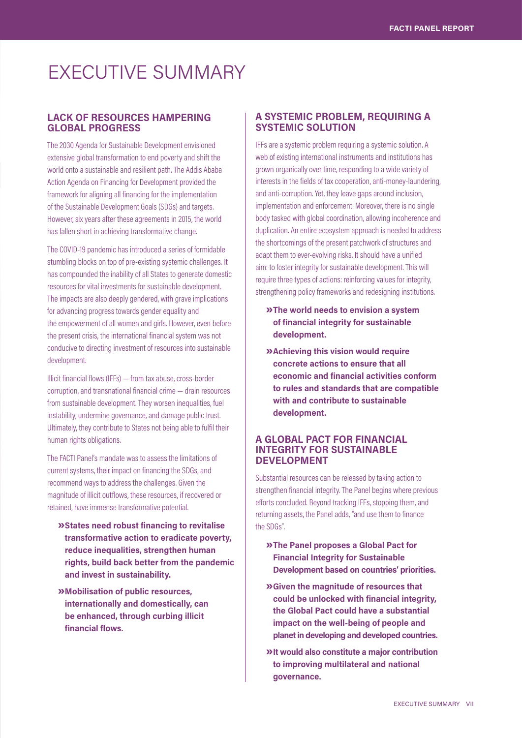# EXECUTIVE SUMMARY

# LACK OF RESOURCES HAMPERING GLOBAL PROGRESS

The 2030 Agenda for Sustainable Development envisioned extensive global transformation to end poverty and shift the world onto a sustainable and resilient path. The Addis Ababa Action Agenda on Financing for Development provided the framework for aligning all financing for the implementation of the Sustainable Development Goals (SDGs) and targets. However, six years after these agreements in 2015, the world has fallen short in achieving transformative change.

The COVID-19 pandemic has introduced a series of formidable stumbling blocks on top of pre-existing systemic challenges. It has compounded the inability of all States to generate domestic resources for vital investments for sustainable development. The impacts are also deeply gendered, with grave implications for advancing progress towards gender equality and the empowerment of all women and girls. However, even before the present crisis, the international financial system was not conducive to directing investment of resources into sustainable development.

Illicit financial flows (IFFs) — from tax abuse, cross-border corruption, and transnational financial crime — drain resources from sustainable development. They worsen inequalities, fuel instability, undermine governance, and damage public trust. Ultimately, they contribute to States not being able to fulfil their human rights obligations.

The FACTI Panel's mandate was to assess the limitations of current systems, their impact on financing the SDGs, and recommend ways to address the challenges. Given the magnitude of illicit outflows, these resources, if recovered or retained, have immense transformative potential.

- » States need robust financing to revitalise transformative action to eradicate poverty, reduce inequalities, strengthen human rights, build back better from the pandemic and invest in sustainability.
- » Mobilisation of public resources, internationally and domestically, can be enhanced, through curbing illicit financial flows.

# A SYSTEMIC PROBLEM, REQUIRING A SYSTEMIC SOLUTION

IFFs are a systemic problem requiring a systemic solution. A web of existing international instruments and institutions has grown organically over time, responding to a wide variety of interests in the fields of tax cooperation, anti-money-laundering, and anti-corruption. Yet, they leave gaps around inclusion, implementation and enforcement. Moreover, there is no single body tasked with global coordination, allowing incoherence and duplication. An entire ecosystem approach is needed to address the shortcomings of the present patchwork of structures and adapt them to ever-evolving risks. It should have a unified aim: to foster integrity for sustainable development. This will require three types of actions: reinforcing values for integrity, strengthening policy frameworks and redesigning institutions.

- » The world needs to envision a system of financial integrity for sustainable development.
- **»** Achieving this vision would require concrete actions to ensure that all economic and financial activities conform to rules and standards that are compatible with and contribute to sustainable development.

# A GLOBAL PACT FOR FINANCIAL INTEGRITY FOR SUSTAINABLE DEVELOPMENT

Substantial resources can be released by taking action to strengthen financial integrity. The Panel begins where previous efforts concluded. Beyond tracking IFFs, stopping them, and returning assets, the Panel adds, "and use them to finance the SDGs".

- » The Panel proposes a Global Pact for Financial Integrity for Sustainable Development based on countries' priorities.
- » Given the magnitude of resources that could be unlocked with financial integrity, the Global Pact could have a substantial impact on the well-being of people and planet in developing and developed countries.
- » It would also constitute a major contribution to improving multilateral and national governance.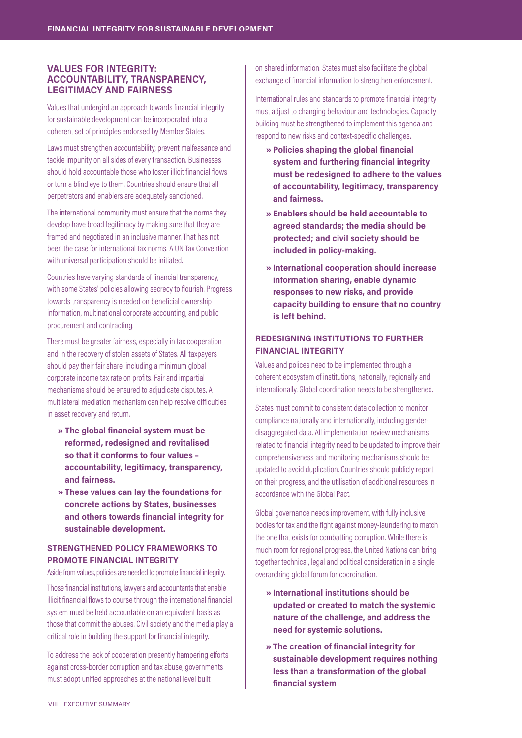## VALUES FOR INTEGRITY: ACCOUNTABILITY, TRANSPARENCY, LEGITIMACY AND FAIRNESS

Values that undergird an approach towards financial integrity for sustainable development can be incorporated into a coherent set of principles endorsed by Member States.

Laws must strengthen accountability, prevent malfeasance and tackle impunity on all sides of every transaction. Businesses should hold accountable those who foster illicit financial flows or turn a blind eye to them. Countries should ensure that all perpetrators and enablers are adequately sanctioned.

The international community must ensure that the norms they develop have broad legitimacy by making sure that they are framed and negotiated in an inclusive manner. That has not been the case for international tax norms. A UN Tax Convention with universal participation should be initiated.

Countries have varying standards of financial transparency, with some States' policies allowing secrecy to flourish. Progress towards transparency is needed on beneficial ownership information, multinational corporate accounting, and public procurement and contracting.

There must be greater fairness, especially in tax cooperation and in the recovery of stolen assets of States. All taxpayers should pay their fair share, including a minimum global corporate income tax rate on profits. Fair and impartial mechanisms should be ensured to adjudicate disputes. A multilateral mediation mechanism can help resolve difficulties in asset recovery and return.

- » The global financial system must be reformed, redesigned and revitalised so that it conforms to four values – accountability, legitimacy, transparency, and fairness.
- » These values can lay the foundations for concrete actions by States, businesses and others towards financial integrity for sustainable development.

# STRENGTHENED POLICY FRAMEWORKS TO PROMOTE FINANCIAL INTEGRITY

Aside from values, policies are needed to promote financial integrity.

Those financial institutions, lawyers and accountants that enable illicit financial flows to course through the international financial system must be held accountable on an equivalent basis as those that commit the abuses. Civil society and the media play a critical role in building the support for financial integrity.

To address the lack of cooperation presently hampering efforts against cross-border corruption and tax abuse, governments must adopt unified approaches at the national level built

on shared information. States must also facilitate the global exchange of financial information to strengthen enforcement.

International rules and standards to promote financial integrity must adjust to changing behaviour and technologies. Capacity building must be strengthened to implement this agenda and respond to new risks and context-specific challenges.

- » Policies shaping the global financial system and furthering financial integrity must be redesigned to adhere to the values of accountability, legitimacy, transparency and fairness.
- » Enablers should be held accountable to agreed standards; the media should be protected; and civil society should be included in policy-making.
- » International cooperation should increase information sharing, enable dynamic responses to new risks, and provide capacity building to ensure that no country is left behind.

# REDESIGNING INSTITUTIONS TO FURTHER FINANCIAL INTEGRITY

Values and polices need to be implemented through a coherent ecosystem of institutions, nationally, regionally and internationally. Global coordination needs to be strengthened.

States must commit to consistent data collection to monitor compliance nationally and internationally, including genderdisaggregated data. All implementation review mechanisms related to financial integrity need to be updated to improve their comprehensiveness and monitoring mechanisms should be updated to avoid duplication. Countries should publicly report on their progress, and the utilisation of additional resources in accordance with the Global Pact.

Global governance needs improvement, with fully inclusive bodies for tax and the fight against money-laundering to match the one that exists for combatting corruption. While there is much room for regional progress, the United Nations can bring together technical, legal and political consideration in a single overarching global forum for coordination.

- » International institutions should be updated or created to match the systemic nature of the challenge, and address the need for systemic solutions.
- » The creation of financial integrity for sustainable development requires nothing less than a transformation of the global financial system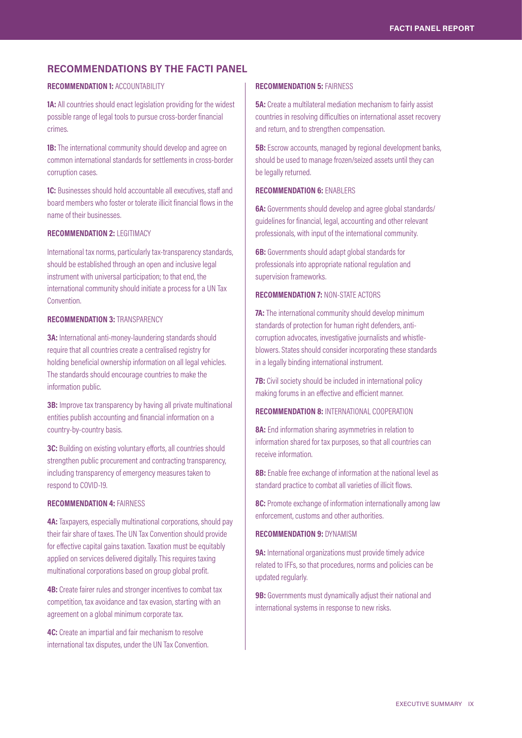# RECOMMENDATIONS BY THE FACTI PANEL

#### RECOMMENDATION 1: ACCOUNTABILITY

1A: All countries should enact legislation providing for the widest possible range of legal tools to pursue cross-border financial crimes.

**1B:** The international community should develop and agree on common international standards for settlements in cross-border corruption cases.

**1C:** Businesses should hold accountable all executives, staff and board members who foster or tolerate illicit financial flows in the name of their businesses.

#### RECOMMENDATION 2: LEGITIMACY

International tax norms, particularly tax-transparency standards, should be established through an open and inclusive legal instrument with universal participation; to that end, the international community should initiate a process for a UN Tax Convention.

#### RECOMMENDATION 3: TRANSPARENCY

3A: International anti-money-laundering standards should require that all countries create a centralised registry for holding beneficial ownership information on all legal vehicles. The standards should encourage countries to make the information public.

**3B:** Improve tax transparency by having all private multinational entities publish accounting and financial information on a country-by-country basis.

3C: Building on existing voluntary efforts, all countries should strengthen public procurement and contracting transparency, including transparency of emergency measures taken to respond to COVID-19.

### RECOMMENDATION 4: FAIRNESS

4A: Taxpayers, especially multinational corporations, should pay their fair share of taxes. The UN Tax Convention should provide for effective capital gains taxation. Taxation must be equitably applied on services delivered digitally. This requires taxing multinational corporations based on group global profit.

4B: Create fairer rules and stronger incentives to combat tax competition, tax avoidance and taxevasion, starting with an agreement on a global minimum corporate tax.

4C: Create an impartial and fair mechanism to resolve international tax disputes, under the UN Tax Convention.

#### RECOMMENDATION 5: FAIRNESS

**5A:** Create a multilateral mediation mechanism to fairly assist countries in resolving difficulties on international asset recovery and return, and to strengthen compensation.

**5B:** Escrow accounts, managed by regional development banks, should be used to manage frozen/seized assets until they can be legally returned.

#### RECOMMENDATION 6: ENABLERS

6A: Governments should develop and agree global standards/ guidelines for financial, legal, accounting and other relevant professionals, with input of the international community.

**6B:** Governments should adapt global standards for professionals into appropriate national regulation and supervision frameworks.

#### RECOMMENDATION 7: NON-STATE ACTORS

**7A:** The international community should develop minimum standards of protection for human right defenders, anticorruption advocates, investigative journalists and whistleblowers. States should consider incorporating these standards in a legally binding international instrument.

**7B:** Civil society should be included in international policy making forums in an effective and efficient manner.

## RECOMMENDATION 8: INTERNATIONAL COOPERATION

8A: End information sharing asymmetries in relation to information shared for tax purposes, so that all countries can receive information.

8B: Enable free exchange of information at the national level as standard practice to combat all varieties of illicit flows.

8C: Promote exchange of information internationally among law enforcement, customs and other authorities.

#### RECOMMENDATION 9: DYNAMISM

**9A:** International organizations must provide timely advice related to IFFs, so that procedures, norms and policies can be updated regularly.

**9B:** Governments must dynamically adjust their national and international systems in response to new risks.